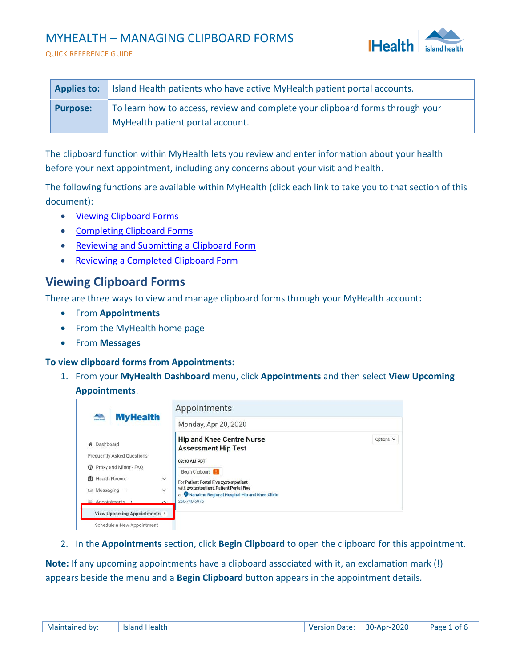## MYHEALTH – MANAGING CLIPBOARD FORMS





| <b>Applies to:</b> | Island Health patients who have active MyHealth patient portal accounts.      |
|--------------------|-------------------------------------------------------------------------------|
| Purpose:           | To learn how to access, review and complete your clipboard forms through your |
|                    | MyHealth patient portal account.                                              |

The clipboard function within MyHealth lets you review and enter information about your health before your next appointment, including any concerns about your visit and health.

The following functions are available within MyHealth (click each link to take you to that section of this document):

- [Viewing Clipboard Forms](#page-0-0)
- Completing Clipboard Forms
- Reviewing and [Submitting a Clipboard Form](#page-4-0)
- [Reviewing a Completed Clipboard Form](#page-4-1)

### <span id="page-0-0"></span>**Viewing Clipboard Forms**

There are three ways to view and manage clipboard forms through your MyHealth account**:**

- From **Appointments**
- From the MyHealth home page
- From **Messages**

**To view clipboard forms from Appointments:**

1. From your **MyHealth Dashboard** menu, click **Appointments** and then select **View Upcoming Appointments**.

|                                                                                                                                                                                                                                                                                                                                                                     |              | Appointments                                                                       |                |
|---------------------------------------------------------------------------------------------------------------------------------------------------------------------------------------------------------------------------------------------------------------------------------------------------------------------------------------------------------------------|--------------|------------------------------------------------------------------------------------|----------------|
| $\begin{picture}(20,20)(-2.0,0) \put(0,0){\line(1,0){10}} \put(15,0){\line(1,0){10}} \put(15,0){\line(1,0){10}} \put(15,0){\line(1,0){10}} \put(15,0){\line(1,0){10}} \put(15,0){\line(1,0){10}} \put(15,0){\line(1,0){10}} \put(15,0){\line(1,0){10}} \put(15,0){\line(1,0){10}} \put(15,0){\line(1,0){10}} \put(15,0){\line(1,0){10}} \put(15$<br><b>MyHealth</b> |              | Monday, Apr 20, 2020                                                               |                |
| * Dashboard<br>Frequently Asked Questions                                                                                                                                                                                                                                                                                                                           |              | <b>Hip and Knee Centre Nurse</b><br><b>Assessment Hip Test</b>                     | Options $\vee$ |
| Proxy and Minor - FAQ<br>$\circ$                                                                                                                                                                                                                                                                                                                                    |              | 08:30 AM PDT<br>Begin Clipboard                                                    |                |
| 图 Health Record                                                                                                                                                                                                                                                                                                                                                     | $\checkmark$ | For Patient Portal Five zyxtestpatient<br>with zyxtestpatient, Patient Portal Five |                |
| ⊠ Messaging                                                                                                                                                                                                                                                                                                                                                         | $\checkmark$ | at Wanaimo Regional Hospital Hip and Knee Clinic<br>250-740-6976                   |                |
| □ Appointments<br><b>View Upcoming Appointments</b> !                                                                                                                                                                                                                                                                                                               | $\sim$       |                                                                                    |                |
| Schedule a New Appointment                                                                                                                                                                                                                                                                                                                                          |              |                                                                                    |                |

2. In the **Appointments** section, click **Begin Clipboard** to open the clipboard for this appointment.

**Note:** If any upcoming appointments have a clipboard associated with it, an exclamation mark (!) appears beside the menu and a **Begin Clipboard** button appears in the appointment details*.*

| 30-Apr-2020<br>Maintained by:<br><b>Version Date:</b><br>Island Health<br>Page 1 of 6 |
|---------------------------------------------------------------------------------------|
|---------------------------------------------------------------------------------------|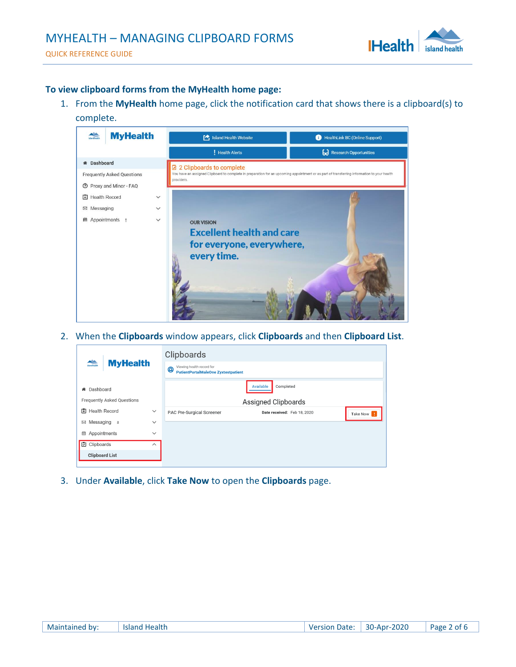

#### **To view clipboard forms from the MyHealth home page:**

1. From the **MyHealth** home page, click the notification card that shows there is a clipboard(s) to complete.



2. When the **Clipboards** window appears, click **Clipboards** and then **Clipboard List**.

| <b>MyHealth</b><br><b>Allandhealth</b> |                         | Clipboards                                                                   |                             |          |
|----------------------------------------|-------------------------|------------------------------------------------------------------------------|-----------------------------|----------|
|                                        |                         | Viewing health record for<br>@<br><b>PatientPortalMaleOne Zyxtestpatient</b> |                             |          |
| Dashboard<br>聋                         |                         |                                                                              | Available<br>Completed      |          |
| <b>Frequently Asked Questions</b>      |                         |                                                                              | Assigned Clipboards         |          |
| <b>El</b> Health Record                | $\checkmark$            | PAC Pre-Surgical Screener                                                    | Date received: Feb 18, 2020 | Take Now |
| ⊠ Messaging<br>8                       | $\check{~}$             |                                                                              |                             |          |
| Appointments<br>▦                      | $\check{~}$             |                                                                              |                             |          |
| <b>7</b> Clipboards                    | $\widehat{\phantom{1}}$ |                                                                              |                             |          |
| <b>Clipboard List</b>                  |                         |                                                                              |                             |          |
|                                        |                         |                                                                              |                             |          |

3. Under **Available**, click **Take Now** to open the **Clipboards** page.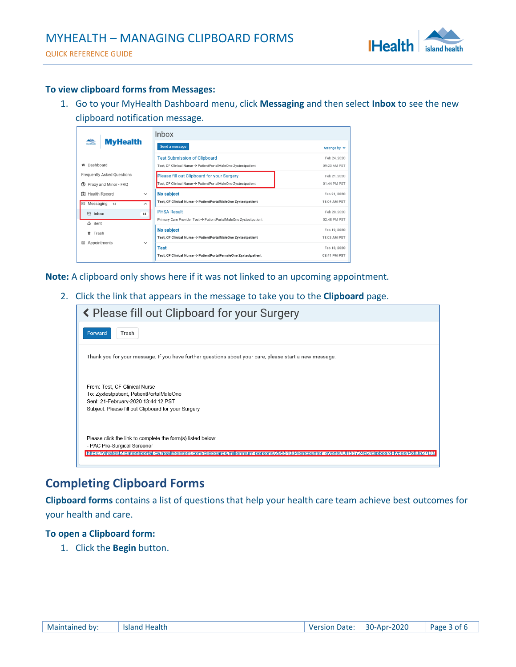

#### **To view clipboard forms from Messages:**

1. Go to your MyHealth Dashboard menu, click **Messaging** and then select **Inbox** to see the new clipboard notification message.

|                                                        | <b>Inbox</b>                                                              |                   |
|--------------------------------------------------------|---------------------------------------------------------------------------|-------------------|
| <b>MyHealth</b>                                        | Send a message                                                            | Arrange by $\vee$ |
|                                                        | <b>Test Submission of Clipboard</b>                                       | Feb 24, 2020      |
| Dashboard                                              | Test, CF Clinical Nurse → PatientPortalMaleOne Zyxtestpatient             | 09:23 AM PST      |
| Frequently Asked Questions                             | Please fill out Clipboard for your Surgery                                | Feb 21, 2020      |
| Proxy and Minor - FAQ<br>$\circledR$                   | Test, CF Clinical Nurse → PatientPortalMaleOne Zyxtestpatient             | 01:44 PM PST      |
| <b>Health Record</b><br>围<br>$\checkmark$              | <b>No subject</b>                                                         | Feb 21, 2020      |
| $\boxtimes$ Messaging<br>14<br>$\widehat{\phantom{a}}$ | Test, CF Clinical Nurse $\rightarrow$ PatientPortalMaleOne Zyxtestpatient | 11:04 AM PST      |
| <b>险</b> Inbox<br>14                                   | <b>PHSA Result</b>                                                        | Feb 20, 2020      |
| <b>△</b> Sent                                          | Primary Care Provider Test → PatientPortalMaleOne Zyxtestpatient          | 02:48 PM PST      |
| Trash                                                  | <b>No subject</b>                                                         | Feb 19, 2020      |
| Appointments<br>曲<br>$\checkmark$                      | Test, CF Clinical Nurse → PatientPortalMaleOne Zyxtestpatient             | 11:03 AM PST      |
|                                                        | <b>Test</b>                                                               | Feb 18, 2020      |
|                                                        | Test, CF Clinical Nurse → PatientPortalFemaleOne Zyxtestpatient           | 03:41 PM PST      |

**Note:** A clipboard only shows here if it was not linked to an upcoming appointment*.*

2. Click the link that appears in the message to take you to the **Clipboard** page.

| K Please fill out Clipboard for your Surgery                                                                                                  |
|-----------------------------------------------------------------------------------------------------------------------------------------------|
| Forward<br>Trash                                                                                                                              |
| Thank you for your message. If you have further questions about your care, please start a new message.                                        |
| From: Test, CF Clinical Nurse                                                                                                                 |
| To: Zyxtestpatient, PatientPortalMaleOne<br>Sent: 21-February-2020 13:44:12 PST                                                               |
| Subject: Please fill out Clipboard for your Surgery                                                                                           |
| Please click the link to complete the form(s) listed below:                                                                                   |
| - PAC Pre-Surgical Screener                                                                                                                   |
| https://vihatest2.patientportal.ca.healtheintent.com/clipboards/millennium-persons/29551084/encounter_events/UH55/24g2/clipboard-types/Px8Jp2 |

## <span id="page-2-0"></span>**Completing Clipboard Forms**

**Clipboard forms** contains a list of questions that help your health care team achieve best outcomes for your health and care.

#### **To open a Clipboard form:**

1. Click the **Begin** button.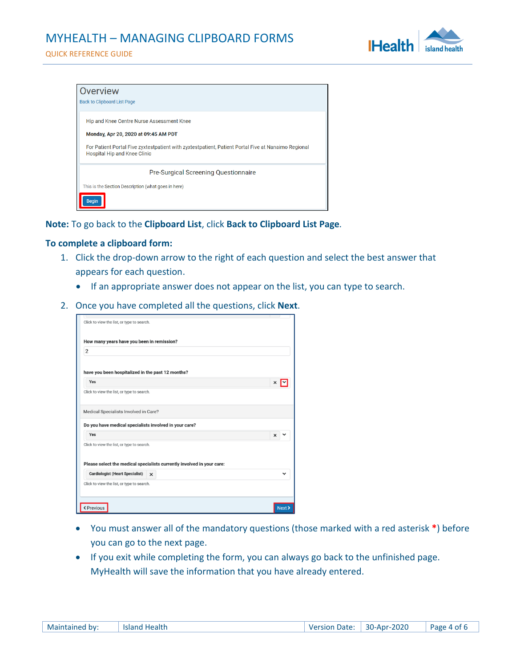# MYHEALTH – MANAGING CLIPBOARD FORMS





| Overview                                                                                                                                   |
|--------------------------------------------------------------------------------------------------------------------------------------------|
| <b>Back to Clipboard List Page</b>                                                                                                         |
| Hip and Knee Centre Nurse Assessment Knee                                                                                                  |
| Monday, Apr 20, 2020 at 09:45 AM PDT                                                                                                       |
| For Patient Portal Five zyxtestpatient with zyxtestpatient, Patient Portal Five at Nanaimo Regional<br><b>Hospital Hip and Knee Clinic</b> |
| <b>Pre-Surgical Screening Questionnaire</b>                                                                                                |
| This is the Section Description (what goes in here)                                                                                        |
|                                                                                                                                            |

#### **Note:** To go back to the **Clipboard List**, click **Back to Clipboard List Page***.*

#### **To complete a clipboard form:**

- 1. Click the drop-down arrow to the right of each question and select the best answer that appears for each question.
	- If an appropriate answer does not appear on the list, you can type to search.
- 2. Once you have completed all the questions, click **Next**.

| Click to view the list, or type to search.                             |          |
|------------------------------------------------------------------------|----------|
| How many years have you been in remission?                             |          |
| $\overline{2}$                                                         |          |
|                                                                        |          |
| have you been hospitalized in the past 12 months?                      |          |
| Yes                                                                    | ×        |
| Click to view the list, or type to search.                             |          |
| Medical Specialists Involved in Care?                                  |          |
| Do you have medical specialists involved in your care?                 |          |
| Yes                                                                    | $\times$ |
| Click to view the list, or type to search.                             |          |
|                                                                        |          |
| Please select the medical specialists currently involved in your care: |          |
| <b>Cardiologist (Heart Specialist)</b><br>$\mathsf{x}$                 |          |
| Click to view the list, or type to search.                             |          |
|                                                                        |          |
|                                                                        |          |

- You must answer all of the mandatory questions (those marked with a red asterisk **\***) before you can go to the next page.
- If you exit while completing the form, you can always go back to the unfinished page. MyHealth will save the information that you have already entered.

| Maintained by: | Island Health | <b>Version Date:</b> | 30-Apr-2020 | Page 4 of 6 |
|----------------|---------------|----------------------|-------------|-------------|
|----------------|---------------|----------------------|-------------|-------------|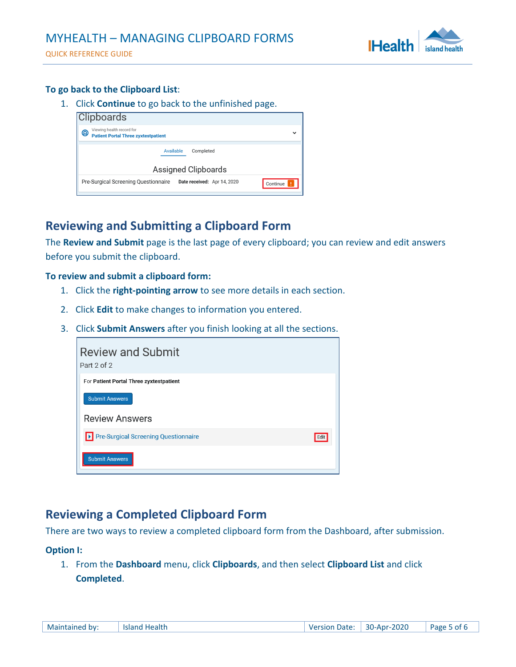

QUICK REFERENCE GUIDE

### **To go back to the Clipboard List**:

1. Click **Continue** to go back to the unfinished page.

| <b>Clipboards</b>                                                            |                                         |
|------------------------------------------------------------------------------|-----------------------------------------|
| Viewing health record for<br>@<br><b>Patient Portal Three zyxtestpatient</b> | $\check{ }$                             |
| Available                                                                    | Completed                               |
|                                                                              | Assigned Clipboards                     |
| Pre-Surgical Screening Questionnaire                                         | Date received: Apr 14, 2020<br>Continue |
|                                                                              |                                         |

## <span id="page-4-0"></span>**Reviewing and Submitting a Clipboard Form**

The **Review and Submit** page is the last page of every clipboard; you can review and edit answers before you submit the clipboard.

#### **To review and submit a clipboard form:**

- 1. Click the **right-pointing arrow** to see more details in each section.
- 2. Click **Edit** to make changes to information you entered.
- 3. Click **Submit Answers** after you finish looking at all the sections.

| <b>Review and Submit</b><br>Part 2 of 2 |      |
|-----------------------------------------|------|
| For Patient Portal Three zyxtestpatient |      |
| <b>Submit Answers</b>                   |      |
| <b>Review Answers</b>                   |      |
| Pre-Surgical Screening Questionnaire    | Edit |
| <b>Submit Answers</b>                   |      |

## <span id="page-4-1"></span>**Reviewing a Completed Clipboard Form**

There are two ways to review a completed clipboard form from the Dashboard, after submission.

#### **Option I:**

1. From the **Dashboard** menu, click **Clipboards**, and then select **Clipboard List** and click **Completed**.

| Maintained by: | Island Health | Version Date: | 30-Apr-2020 | Page 5 of 6 |
|----------------|---------------|---------------|-------------|-------------|
|----------------|---------------|---------------|-------------|-------------|